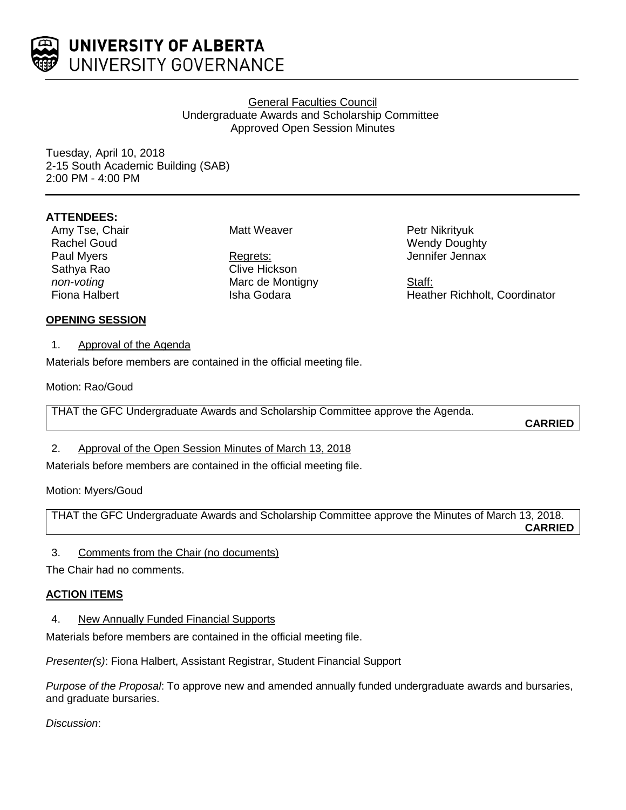

# General Faculties Council Undergraduate Awards and Scholarship Committee Approved Open Session Minutes

Tuesday, April 10, 2018 2-15 South Academic Building (SAB) 2:00 PM - 4:00 PM

# **ATTENDEES:**

Amy Tse, Chair Rachel Goud Paul Myers Sathya Rao *non-voting* Fiona Halbert

Matt Weaver

Regrets: Clive Hickson Marc de Montigny Isha Godara

Petr Nikrityuk Wendy Doughty Jennifer Jennax

Staff: Heather Richholt, Coordinator

# **OPENING SESSION**

1. Approval of the Agenda

Materials before members are contained in the official meeting file.

Motion: Rao/Goud

THAT the GFC Undergraduate Awards and Scholarship Committee approve the Agenda.

**CARRIED**

# 2. Approval of the Open Session Minutes of March 13, 2018

Materials before members are contained in the official meeting file.

Motion: Myers/Goud

THAT the GFC Undergraduate Awards and Scholarship Committee approve the Minutes of March 13, 2018. **CARRIED**

3. Comments from the Chair (no documents)

The Chair had no comments.

# **ACTION ITEMS**

4. New Annually Funded Financial Supports

Materials before members are contained in the official meeting file.

*Presenter(s)*: Fiona Halbert, Assistant Registrar, Student Financial Support

*Purpose of the Proposal*: To approve new and amended annually funded undergraduate awards and bursaries, and graduate bursaries.

*Discussion*: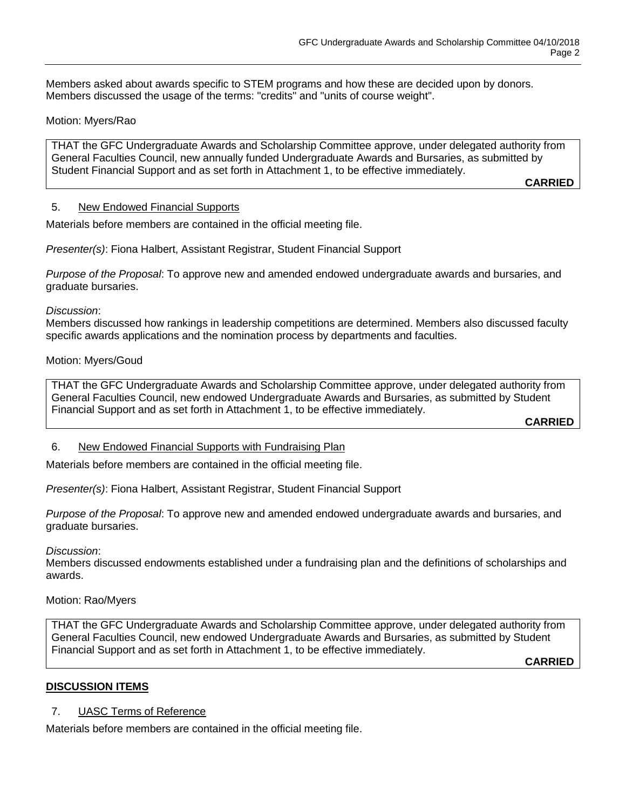Members asked about awards specific to STEM programs and how these are decided upon by donors. Members discussed the usage of the terms: "credits" and "units of course weight".

### Motion: Myers/Rao

THAT the GFC Undergraduate Awards and Scholarship Committee approve, under delegated authority from General Faculties Council, new annually funded Undergraduate Awards and Bursaries, as submitted by Student Financial Support and as set forth in Attachment 1, to be effective immediately.

**CARRIED**

#### 5. New Endowed Financial Supports

Materials before members are contained in the official meeting file.

*Presenter(s)*: Fiona Halbert, Assistant Registrar, Student Financial Support

*Purpose of the Proposal*: To approve new and amended endowed undergraduate awards and bursaries, and graduate bursaries.

*Discussion*:

Members discussed how rankings in leadership competitions are determined. Members also discussed faculty specific awards applications and the nomination process by departments and faculties.

#### Motion: Myers/Goud

THAT the GFC Undergraduate Awards and Scholarship Committee approve, under delegated authority from General Faculties Council, new endowed Undergraduate Awards and Bursaries, as submitted by Student Financial Support and as set forth in Attachment 1, to be effective immediately.

**CARRIED**

### 6. New Endowed Financial Supports with Fundraising Plan

Materials before members are contained in the official meeting file.

*Presenter(s)*: Fiona Halbert, Assistant Registrar, Student Financial Support

*Purpose of the Proposal*: To approve new and amended endowed undergraduate awards and bursaries, and graduate bursaries.

*Discussion*:

Members discussed endowments established under a fundraising plan and the definitions of scholarships and awards.

#### Motion: Rao/Myers

THAT the GFC Undergraduate Awards and Scholarship Committee approve, under delegated authority from General Faculties Council, new endowed Undergraduate Awards and Bursaries, as submitted by Student Financial Support and as set forth in Attachment 1, to be effective immediately.

**CARRIED**

### **DISCUSSION ITEMS**

7. UASC Terms of Reference

Materials before members are contained in the official meeting file.